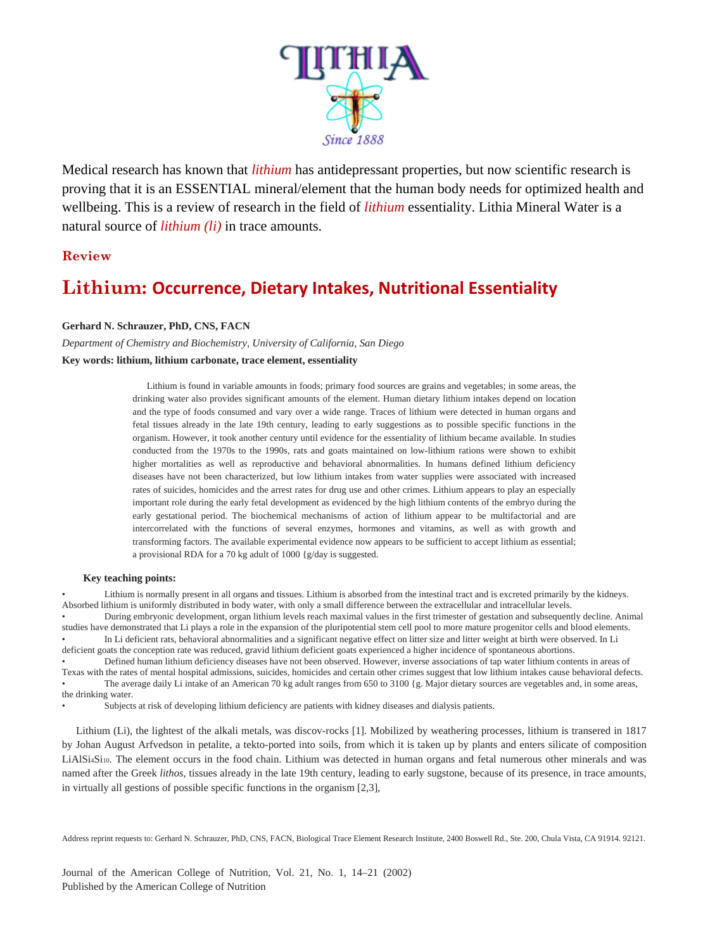

Medical research has known that *lithium* has antidepressant properties, but now scientific research is proving that it is an ESSENTIAL mineral/element that the human body needs for optimized health and wellbeing. This is a review of research in the field of *lithium* essentiality. Lithia Mineral Water is a natural source of *lithium (li)* in trace amounts.

# **Review**

# **Lithium: Occurrence, Dietary Intakes, Nutritional Essentiality**

### **Gerhard N. Schrauzer, PhD, CNS, FACN**

*Department of Chemistry and Biochemistry, University of California, San Diego* 

#### **Key words: lithium, lithium carbonate, trace element, essentiality**

Lithium is found in variable amounts in foods; primary food sources are grains and vegetables; in some areas, the drinking water also provides significant amounts of the element. Human dietary lithium intakes depend on location and the type of foods consumed and vary over a wide range. Traces of lithium were detected in human organs and fetal tissues already in the late 19th century, leading to early suggestions as to possible specific functions in the organism. However, it took another century until evidence for the essentiality of lithium became available. In studies conducted from the 1970s to the 1990s, rats and goats maintained on low-lithium rations were shown to exhibit higher mortalities as well as reproductive and behavioral abnormalities. In humans defined lithium deficiency diseases have not been characterized, but low lithium intakes from water supplies were associated with increased rates of suicides, homicides and the arrest rates for drug use and other crimes. Lithium appears to play an especially important role during the early fetal development as evidenced by the high lithium contents of the embryo during the early gestational period. The biochemical mechanisms of action of lithium appear to be multifactorial and are intercorrelated with the functions of several enzymes, hormones and vitamins, as well as with growth and transforming factors. The available experimental evidence now appears to be sufficient to accept lithium as essential; a provisional RDA for a 70 kg adult of 1000 {g/day is suggested.

#### **Key teaching points:**

• Lithium is normally present in all organs and tissues. Lithium is absorbed from the intestinal tract and is excreted primarily by the kidneys. Absorbed lithium is uniformly distributed in body water, with only a small difference between the extracellular and intracellular levels.

• During embryonic development, organ lithium levels reach maximal values in the first trimester of gestation and subsequently decline. Animal studies have demonstrated that Li plays a role in the expansion of the pluripotential stem cell pool to more mature progenitor cells and blood elements. • In Li deficient rats, behavioral abnormalities and a significant negative effect on litter size and litter weight at birth were observed. In Li deficient goats the conception rate was reduced, gravid lithium deficient goats experienced a higher incidence of spontaneous abortions.

• Defined human lithium deficiency diseases have not been observed. However, inverse associations of tap water lithium contents in areas of Texas with the rates of mental hospital admissions, suicides, homicides and certain other crimes suggest that low lithium intakes cause behavioral defects. • The average daily Li intake of an American 70 kg adult ranges from 650 to 3100 {g. Major dietary sources are vegetables and, in some areas, the drinking water.

• Subjects at risk of developing lithium deficiency are patients with kidney diseases and dialysis patients.

Lithium (Li), the lightest of the alkali metals, was discov-rocks [1]. Mobilized by weathering processes, lithium is transered in 1817 by Johan August Arfvedson in petalite, a tekto-ported into soils, from which it is taken up by plants and enters silicate of composition LiAlSi<sub>4</sub>Si<sub>10</sub>. The element occurs in the food chain. Lithium was detected in human organs and fetal numerous other minerals and was named after the Greek *lithos*, tissues already in the late 19th century, leading to early sugstone, because of its presence, in trace amounts, in virtually all gestions of possible specific functions in the organism [2,3],

Address reprint requests to: Gerhard N. Schrauzer, PhD, CNS, FACN, Biological Trace Element Research Institute, 2400 Boswell Rd., Ste. 200, Chula Vista, CA 91914. 92121.

Journal of the American College of Nutrition, Vol. 21, No. 1, 14–21 (2002) Published by the American College of Nutrition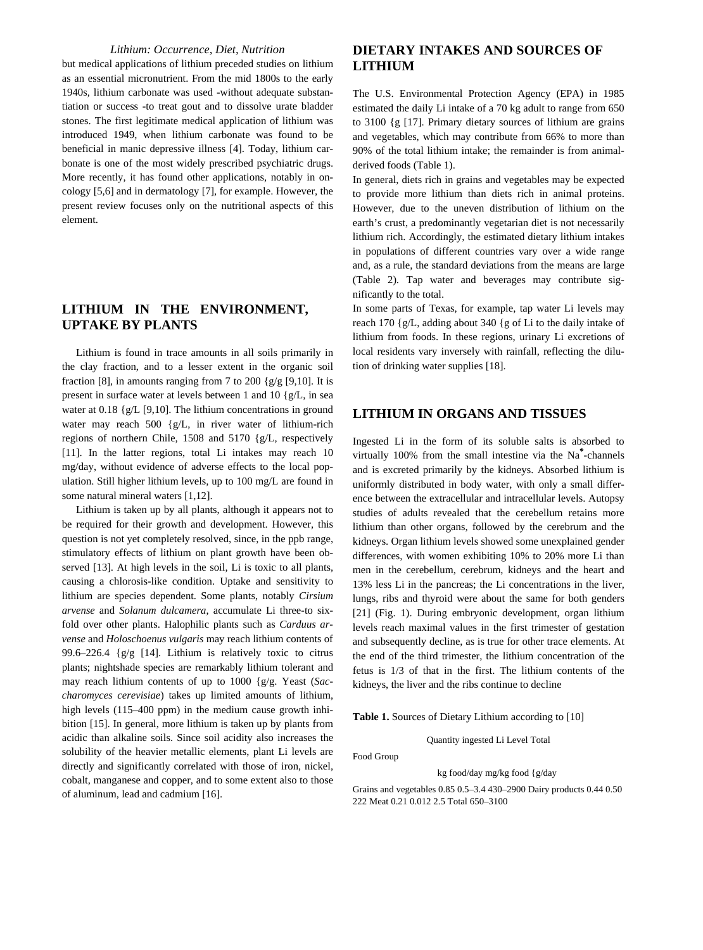#### *Lithium: Occurrence, Diet, Nutrition*

but medical applications of lithium preceded studies on lithium as an essential micronutrient. From the mid 1800s to the early 1940s, lithium carbonate was used -without adequate substantiation or success -to treat gout and to dissolve urate bladder stones. The first legitimate medical application of lithium was introduced 1949, when lithium carbonate was found to be beneficial in manic depressive illness [4]. Today, lithium carbonate is one of the most widely prescribed psychiatric drugs. More recently, it has found other applications, notably in oncology [5,6] and in dermatology [7], for example. However, the present review focuses only on the nutritional aspects of this element.

# **LITHIUM IN THE ENVIRONMENT, UPTAKE BY PLANTS**

Lithium is found in trace amounts in all soils primarily in the clay fraction, and to a lesser extent in the organic soil fraction [8], in amounts ranging from 7 to 200  $\{g/g$  [9,10]. It is present in surface water at levels between 1 and 10 {g/L, in sea water at 0.18 {g/L [9,10]. The lithium concentrations in ground water may reach 500 {g/L, in river water of lithium-rich regions of northern Chile, 1508 and 5170 {g/L, respectively [11]. In the latter regions, total Li intakes may reach 10 mg/day, without evidence of adverse effects to the local population. Still higher lithium levels, up to 100 mg/L are found in some natural mineral waters [1,12].

Lithium is taken up by all plants, although it appears not to be required for their growth and development. However, this question is not yet completely resolved, since, in the ppb range, stimulatory effects of lithium on plant growth have been observed [13]. At high levels in the soil, Li is toxic to all plants, causing a chlorosis-like condition. Uptake and sensitivity to lithium are species dependent. Some plants, notably *Cirsium arvense* and *Solanum dulcamera*, accumulate Li three-to sixfold over other plants. Halophilic plants such as *Carduus arvense* and *Holoschoenus vulgaris* may reach lithium contents of 99.6–226.4 {g/g [14]. Lithium is relatively toxic to citrus plants; nightshade species are remarkably lithium tolerant and may reach lithium contents of up to 1000 {g/g. Yeast (*Saccharomyces cerevisiae*) takes up limited amounts of lithium, high levels (115–400 ppm) in the medium cause growth inhibition [15]. In general, more lithium is taken up by plants from acidic than alkaline soils. Since soil acidity also increases the solubility of the heavier metallic elements, plant Li levels are directly and significantly correlated with those of iron, nickel, cobalt, manganese and copper, and to some extent also to those of aluminum, lead and cadmium [16].

### **DIETARY INTAKES AND SOURCES OF LITHIUM**

The U.S. Environmental Protection Agency (EPA) in 1985 estimated the daily Li intake of a 70 kg adult to range from 650 to 3100 {g [17]. Primary dietary sources of lithium are grains and vegetables, which may contribute from 66% to more than 90% of the total lithium intake; the remainder is from animalderived foods (Table 1).

In general, diets rich in grains and vegetables may be expected to provide more lithium than diets rich in animal proteins. However, due to the uneven distribution of lithium on the earth's crust, a predominantly vegetarian diet is not necessarily lithium rich. Accordingly, the estimated dietary lithium intakes in populations of different countries vary over a wide range and, as a rule, the standard deviations from the means are large (Table 2). Tap water and beverages may contribute significantly to the total.

In some parts of Texas, for example, tap water Li levels may reach 170 {g/L, adding about 340 {g of Li to the daily intake of lithium from foods. In these regions, urinary Li excretions of local residents vary inversely with rainfall, reflecting the dilution of drinking water supplies [18].

### **LITHIUM IN ORGANS AND TISSUES**

Ingested Li in the form of its soluble salts is absorbed to virtually 100% from the small intestine via the  $Na^*$ -channels and is excreted primarily by the kidneys. Absorbed lithium is uniformly distributed in body water, with only a small difference between the extracellular and intracellular levels. Autopsy studies of adults revealed that the cerebellum retains more lithium than other organs, followed by the cerebrum and the kidneys. Organ lithium levels showed some unexplained gender differences, with women exhibiting 10% to 20% more Li than men in the cerebellum, cerebrum, kidneys and the heart and 13% less Li in the pancreas; the Li concentrations in the liver, lungs, ribs and thyroid were about the same for both genders [21] (Fig. 1). During embryonic development, organ lithium levels reach maximal values in the first trimester of gestation and subsequently decline, as is true for other trace elements. At the end of the third trimester, the lithium concentration of the fetus is 1/3 of that in the first. The lithium contents of the kidneys, the liver and the ribs continue to decline

**Table 1.** Sources of Dietary Lithium according to [10]

Quantity ingested Li Level Total

Food Group

kg food/day mg/kg food {g/day

Grains and vegetables 0.85 0.5–3.4 430–2900 Dairy products 0.44 0.50 222 Meat 0.21 0.012 2.5 Total 650–3100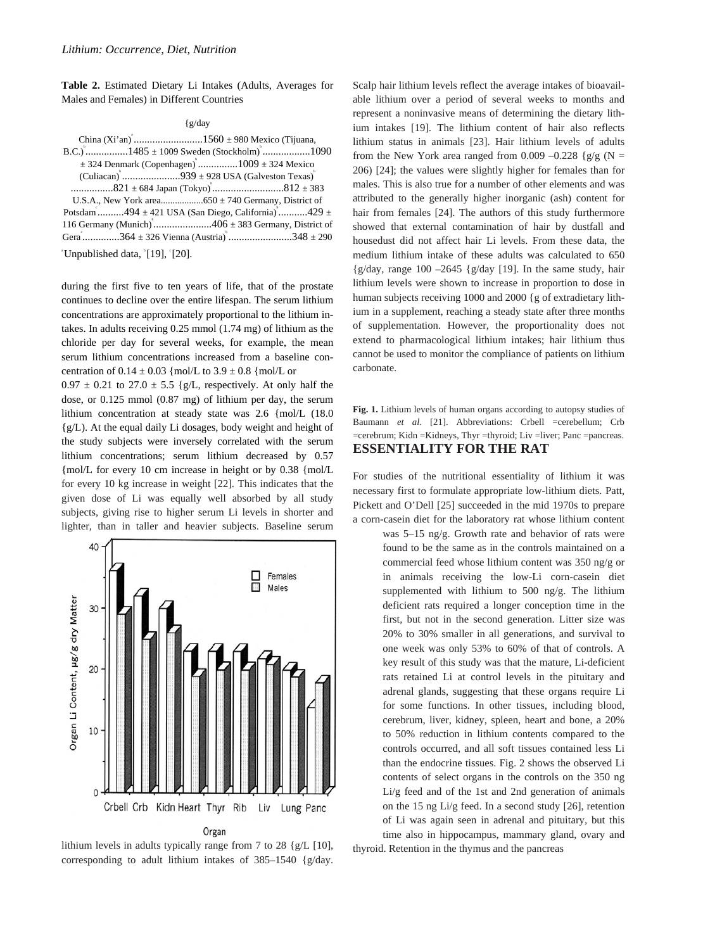**Table 2.** Estimated Dietary Li Intakes (Adults, Averages for Males and Females) in Different Countries

#### {g/day

| B.C.) 1485 ± 1009 Sweden (Stockholm) 1090                   |
|-------------------------------------------------------------|
| $\pm$ 324 Denmark (Copenhagen) 1009 $\pm$ 324 Mexico        |
|                                                             |
|                                                             |
|                                                             |
| Potsdam 494 $\pm$ 421 USA (San Diego, California) 429 $\pm$ |
|                                                             |
| Gera364 ± 326 Vienna (Austria) 348 ± 290                    |
| 'Unpublished data, '[19], '[20].                            |

during the first five to ten years of life, that of the prostate continues to decline over the entire lifespan. The serum lithium concentrations are approximately proportional to the lithium intakes. In adults receiving 0.25 mmol (1.74 mg) of lithium as the chloride per day for several weeks, for example, the mean serum lithium concentrations increased from a baseline concentration of  $0.14 \pm 0.03$  {mol/L to  $3.9 \pm 0.8$  {mol/L or

 $0.97 \pm 0.21$  to  $27.0 \pm 5.5$  {g/L, respectively. At only half the dose, or 0.125 mmol (0.87 mg) of lithium per day, the serum lithium concentration at steady state was 2.6 {mol/L (18.0 {g/L). At the equal daily Li dosages, body weight and height of the study subjects were inversely correlated with the serum lithium concentrations; serum lithium decreased by 0.57 {mol/L for every 10 cm increase in height or by 0.38 {mol/L for every 10 kg increase in weight [22]. This indicates that the given dose of Li was equally well absorbed by all study subjects, giving rise to higher serum Li levels in shorter and lighter, than in taller and heavier subjects. Baseline serum



Organ

lithium levels in adults typically range from 7 to 28 {g/L [10], corresponding to adult lithium intakes of 385–1540 {g/day.

Scalp hair lithium levels reflect the average intakes of bioavailable lithium over a period of several weeks to months and represent a noninvasive means of determining the dietary lithium intakes [19]. The lithium content of hair also reflects lithium status in animals [23]. Hair lithium levels of adults from the New York area ranged from 0.009 –0.228 {g/g (N = 206) [24]; the values were slightly higher for females than for males. This is also true for a number of other elements and was attributed to the generally higher inorganic (ash) content for hair from females [24]. The authors of this study furthermore showed that external contamination of hair by dustfall and housedust did not affect hair Li levels. From these data, the medium lithium intake of these adults was calculated to 650  ${g/day, range 100 -2645 {g/day [19]}. In the same study, hair$ lithium levels were shown to increase in proportion to dose in human subjects receiving 1000 and 2000 {g of extradietary lithium in a supplement, reaching a steady state after three months of supplementation. However, the proportionality does not extend to pharmacological lithium intakes; hair lithium thus cannot be used to monitor the compliance of patients on lithium carbonate.

**Fig. 1.** Lithium levels of human organs according to autopsy studies of Baumann et al. [21]. Abbreviations: Crbell =cerebellum; Crb =cerebrum; Kidn =Kidneys, Thyr =thyroid; Liv =liver; Panc =pancreas. **ESSENTIALITY FOR THE RAT** 

For studies of the nutritional essentiality of lithium it was necessary first to formulate appropriate low-lithium diets. Patt, Pickett and O'Dell [25] succeeded in the mid 1970s to prepare a corn-casein diet for the laboratory rat whose lithium content

was 5–15 ng/g. Growth rate and behavior of rats were found to be the same as in the controls maintained on a commercial feed whose lithium content was 350 ng/g or in animals receiving the low-Li corn-casein diet supplemented with lithium to 500 ng/g. The lithium deficient rats required a longer conception time in the first, but not in the second generation. Litter size was 20% to 30% smaller in all generations, and survival to one week was only 53% to 60% of that of controls. A key result of this study was that the mature, Li-deficient rats retained Li at control levels in the pituitary and adrenal glands, suggesting that these organs require Li for some functions. In other tissues, including blood, cerebrum, liver, kidney, spleen, heart and bone, a 20% to 50% reduction in lithium contents compared to the controls occurred, and all soft tissues contained less Li than the endocrine tissues. Fig. 2 shows the observed Li contents of select organs in the controls on the 350 ng Li/g feed and of the 1st and 2nd generation of animals on the 15 ng Li/g feed. In a second study [26], retention of Li was again seen in adrenal and pituitary, but this time also in hippocampus, mammary gland, ovary and

thyroid. Retention in the thymus and the pancreas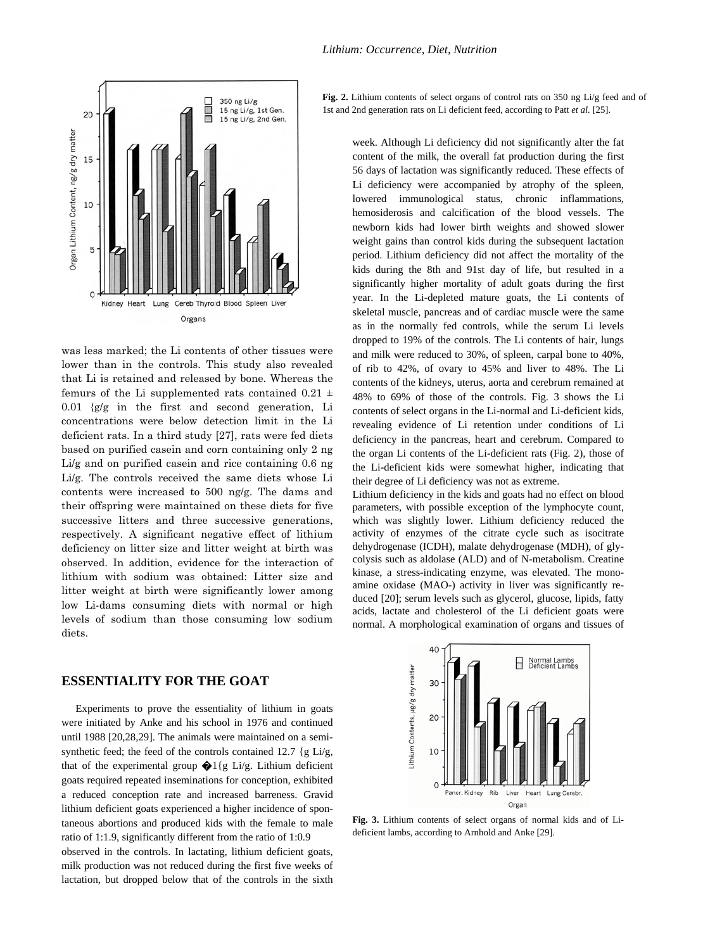

was less marked; the Li contents of other tissues were lower than in the controls. This study also revealed that Li is retained and released by bone. Whereas the femurs of the Li supplemented rats contained  $0.21 \pm$ 0.01 {g/g in the first and second generation, Li concentrations were below detection limit in the Li deficient rats. In a third study [27], rats were fed diets based on purified casein and corn containing only 2 ng Li/g and on purified casein and rice containing 0.6 ng Li/g. The controls received the same diets whose Li contents were increased to 500 ng/g. The dams and their offspring were maintained on these diets for five successive litters and three successive generations, respectively. A significant negative effect of lithium deficiency on litter size and litter weight at birth was observed. In addition, evidence for the interaction of lithium with sodium was obtained: Litter size and litter weight at birth were significantly lower among low Li-dams consuming diets with normal or high levels of sodium than those consuming low sodium diets.

### **ESSENTIALITY FOR THE GOAT**

Experiments to prove the essentiality of lithium in goats were initiated by Anke and his school in 1976 and continued until 1988 [20,28,29]. The animals were maintained on a semisynthetic feed; the feed of the controls contained 12.7 {g Li/g, that of the experimental group  $\bigotimes 1$ {g Li/g. Lithium deficient goats required repeated inseminations for conception, exhibited a reduced conception rate and increased barreness. Gravid lithium deficient goats experienced a higher incidence of spontaneous abortions and produced kids with the female to male ratio of 1:1.9, significantly different from the ratio of 1:0.9 observed in the controls. In lactating, lithium deficient goats, milk production was not reduced during the first five weeks of lactation, but dropped below that of the controls in the sixth

Fig. 2. Lithium contents of select organs of control rats on 350 ng Li/g feed and of 1st and 2nd generation rats on Li deficient feed, according to Patt *et al.* [25].

week. Although Li deficiency did not significantly alter the fat content of the milk, the overall fat production during the first 56 days of lactation was significantly reduced. These effects of Li deficiency were accompanied by atrophy of the spleen, lowered immunological status, chronic inflammations, hemosiderosis and calcification of the blood vessels. The newborn kids had lower birth weights and showed slower weight gains than control kids during the subsequent lactation period. Lithium deficiency did not affect the mortality of the kids during the 8th and 91st day of life, but resulted in a significantly higher mortality of adult goats during the first year. In the Li-depleted mature goats, the Li contents of skeletal muscle, pancreas and of cardiac muscle were the same as in the normally fed controls, while the serum Li levels dropped to 19% of the controls. The Li contents of hair, lungs and milk were reduced to 30%, of spleen, carpal bone to 40%, of rib to 42%, of ovary to 45% and liver to 48%. The Li contents of the kidneys, uterus, aorta and cerebrum remained at 48% to 69% of those of the controls. Fig. 3 shows the Li contents of select organs in the Li-normal and Li-deficient kids, revealing evidence of Li retention under conditions of Li deficiency in the pancreas, heart and cerebrum. Compared to the organ Li contents of the Li-deficient rats (Fig. 2), those of the Li-deficient kids were somewhat higher, indicating that their degree of Li deficiency was not as extreme.

Lithium deficiency in the kids and goats had no effect on blood parameters, with possible exception of the lymphocyte count, which was slightly lower. Lithium deficiency reduced the activity of enzymes of the citrate cycle such as isocitrate dehydrogenase (ICDH), malate dehydrogenase (MDH), of glycolysis such as aldolase (ALD) and of N-metabolism. Creatine kinase, a stress-indicating enzyme, was elevated. The monoamine oxidase (MAO-) activity in liver was significantly reduced [20]; serum levels such as glycerol, glucose, lipids, fatty acids, lactate and cholesterol of the Li deficient goats were normal. A morphological examination of organs and tissues of



**Fig. 3.** Lithium contents of select organs of normal kids and of Lideficient lambs, according to Arnhold and Anke [29].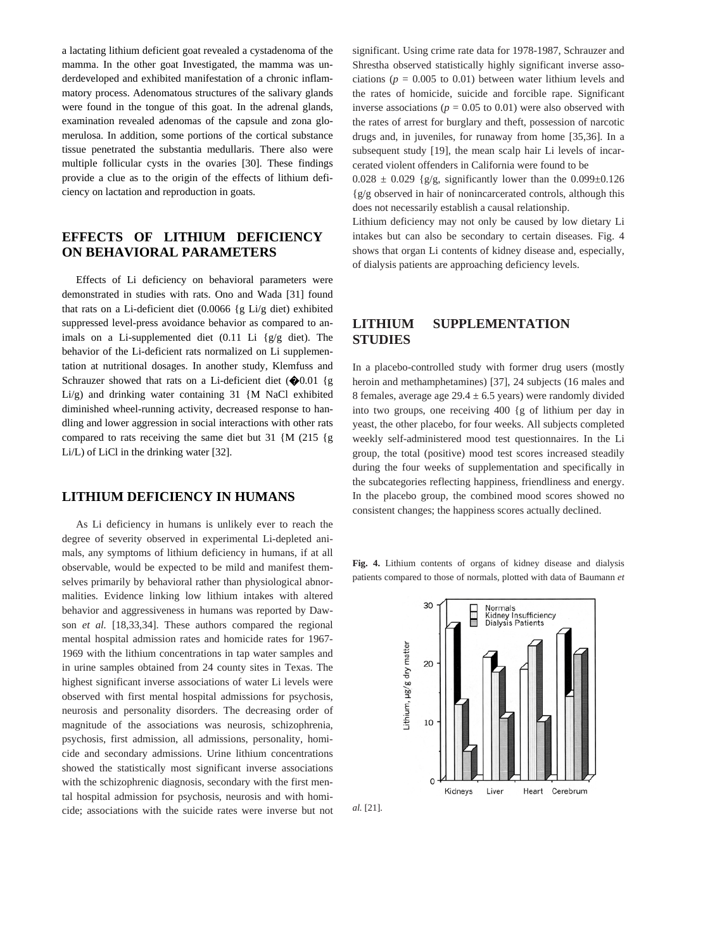a lactating lithium deficient goat revealed a cystadenoma of the mamma. In the other goat Investigated, the mamma was underdeveloped and exhibited manifestation of a chronic inflammatory process. Adenomatous structures of the salivary glands were found in the tongue of this goat. In the adrenal glands, examination revealed adenomas of the capsule and zona glomerulosa. In addition, some portions of the cortical substance tissue penetrated the substantia medullaris. There also were multiple follicular cysts in the ovaries [30]. These findings provide a clue as to the origin of the effects of lithium deficiency on lactation and reproduction in goats.

# **EFFECTS OF LITHIUM DEFICIENCY ON BEHAVIORAL PARAMETERS**

Effects of Li deficiency on behavioral parameters were demonstrated in studies with rats. Ono and Wada [31] found that rats on a Li-deficient diet (0.0066 {g Li/g diet) exhibited suppressed level-press avoidance behavior as compared to animals on a Li-supplemented diet (0.11 Li {g/g diet). The behavior of the Li-deficient rats normalized on Li supplementation at nutritional dosages. In another study, Klemfuss and Schrauzer showed that rats on a Li-deficient diet  $\langle \mathbf{\Phi} 0.01 \rangle$  {g Li/g) and drinking water containing 31 {M NaCl exhibited diminished wheel-running activity, decreased response to handling and lower aggression in social interactions with other rats compared to rats receiving the same diet but 31 {M (215 {g Li/L) of LiCl in the drinking water [32].

### **LITHIUM DEFICIENCY IN HUMANS**

As Li deficiency in humans is unlikely ever to reach the degree of severity observed in experimental Li-depleted animals, any symptoms of lithium deficiency in humans, if at all observable, would be expected to be mild and manifest themselves primarily by behavioral rather than physiological abnormalities. Evidence linking low lithium intakes with altered behavior and aggressiveness in humans was reported by Dawson *et al.* [18,33,34]. These authors compared the regional mental hospital admission rates and homicide rates for 1967- 1969 with the lithium concentrations in tap water samples and in urine samples obtained from 24 county sites in Texas. The highest significant inverse associations of water Li levels were observed with first mental hospital admissions for psychosis, neurosis and personality disorders. The decreasing order of magnitude of the associations was neurosis, schizophrenia, psychosis, first admission, all admissions, personality, homicide and secondary admissions. Urine lithium concentrations showed the statistically most significant inverse associations with the schizophrenic diagnosis, secondary with the first mental hospital admission for psychosis, neurosis and with homicide; associations with the suicide rates were inverse but not

significant. Using crime rate data for 1978-1987, Schrauzer and Shrestha observed statistically highly significant inverse associations ( $p = 0.005$  to 0.01) between water lithium levels and the rates of homicide, suicide and forcible rape. Significant inverse associations ( $p = 0.05$  to 0.01) were also observed with the rates of arrest for burglary and theft, possession of narcotic drugs and, in juveniles, for runaway from home [35,36]. In a subsequent study [19], the mean scalp hair Li levels of incarcerated violent offenders in California were found to be

 $0.028 \pm 0.029$  {g/g, significantly lower than the  $0.099\pm0.126$ {g/g observed in hair of nonincarcerated controls, although this does not necessarily establish a causal relationship.

Lithium deficiency may not only be caused by low dietary Li intakes but can also be secondary to certain diseases. Fig. 4 shows that organ Li contents of kidney disease and, especially, of dialysis patients are approaching deficiency levels.

### **LITHIUM SUPPLEMENTATION STUDIES**

In a placebo-controlled study with former drug users (mostly heroin and methamphetamines) [37], 24 subjects (16 males and 8 females, average age  $29.4 \pm 6.5$  years) were randomly divided into two groups, one receiving 400 {g of lithium per day in yeast, the other placebo, for four weeks. All subjects completed weekly self-administered mood test questionnaires. In the Li group, the total (positive) mood test scores increased steadily during the four weeks of supplementation and specifically in the subcategories reflecting happiness, friendliness and energy. In the placebo group, the combined mood scores showed no consistent changes; the happiness scores actually declined.





*al.* [21].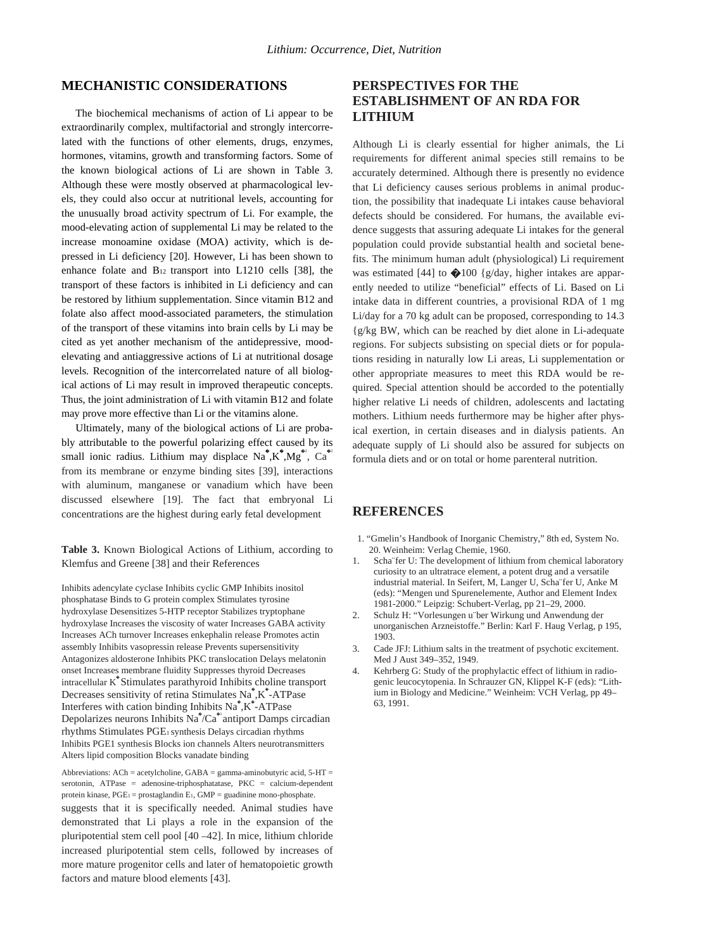### **MECHANISTIC CONSIDERATIONS**

The biochemical mechanisms of action of Li appear to be extraordinarily complex, multifactorial and strongly intercorrelated with the functions of other elements, drugs, enzymes, hormones, vitamins, growth and transforming factors. Some of the known biological actions of Li are shown in Table 3. Although these were mostly observed at pharmacological levels, they could also occur at nutritional levels, accounting for the unusually broad activity spectrum of Li. For example, the mood-elevating action of supplemental Li may be related to the increase monoamine oxidase (MOA) activity, which is depressed in Li deficiency [20]. However, Li has been shown to enhance folate and B12 transport into L1210 cells [38], the transport of these factors is inhibited in Li deficiency and can be restored by lithium supplementation. Since vitamin B12 and folate also affect mood-associated parameters, the stimulation of the transport of these vitamins into brain cells by Li may be cited as yet another mechanism of the antidepressive, moodelevating and antiaggressive actions of Li at nutritional dosage levels. Recognition of the intercorrelated nature of all biological actions of Li may result in improved therapeutic concepts. Thus, the joint administration of Li with vitamin B12 and folate may prove more effective than Li or the vitamins alone.

Ultimately, many of the biological actions of Li are probably attributable to the powerful polarizing effect caused by its small ionic radius. Lithium may displace  $\text{Na}^{\bullet}, \text{K}^{\bullet}, \text{Mg}^{\bullet2}, \text{Ca}^{\bullet2}$ from its membrane or enzyme binding sites [39], interactions with aluminum, manganese or vanadium which have been discussed elsewhere [19]. The fact that embryonal Li concentrations are the highest during early fetal development

**Table 3.** Known Biological Actions of Lithium, according to Klemfus and Greene [38] and their References

Inhibits adencylate cyclase Inhibits cyclic GMP Inhibits inositol phosphatase Binds to G protein complex Stimulates tyrosine hydroxylase Desensitizes 5-HTP receptor Stabilizes tryptophane hydroxylase Increases the viscosity of water Increases GABA activity Increases ACh turnover Increases enkephalin release Promotes actin assembly Inhibits vasopressin release Prevents supersensitivity Antagonizes aldosterone Inhibits PKC translocation Delays melatonin onset Increases membrane fluidity Suppresses thyroid Decreases intracellular K� Stimulates parathyroid Inhibits choline transport Decreases sensitivity of retina Stimulates Na<sup>\*</sup>,K<sup>\*</sup>-ATPase Interferes with cation binding Inhibits  $\text{Na}^{\bullet}, \text{K}^{\bullet}$ -ATPase Depolarizes neurons Inhibits Na<sup>\*</sup>/Ca<sup>\*</sup>antiport Damps circadian rhythms Stimulates PGE1 synthesis Delays circadian rhythms Inhibits PGE1 synthesis Blocks ion channels Alters neurotransmitters Alters lipid composition Blocks vanadate binding

Abbreviations:  $ACh = acetylcholine. GABA = gamma-aminobuturic acid. 5-HT =$ serotonin, ATPase = adenosine-triphosphatatase, PKC = calcium-dependent protein kinase, PGE1 = prostaglandin E1, GMP = guadinine mono-phosphate. suggests that it is specifically needed. Animal studies have demonstrated that Li plays a role in the expansion of the pluripotential stem cell pool [40 –42]. In mice, lithium chloride increased pluripotential stem cells, followed by increases of more mature progenitor cells and later of hematopoietic growth factors and mature blood elements [43].

# **PERSPECTIVES FOR THE ESTABLISHMENT OF AN RDA FOR LITHIUM**

Although Li is clearly essential for higher animals, the Li requirements for different animal species still remains to be accurately determined. Although there is presently no evidence that Li deficiency causes serious problems in animal production, the possibility that inadequate Li intakes cause behavioral defects should be considered. For humans, the available evidence suggests that assuring adequate Li intakes for the general population could provide substantial health and societal benefits. The minimum human adult (physiological) Li requirement was estimated [44] to  $\bigcirc$  100 {g/day, higher intakes are apparently needed to utilize "beneficial" effects of Li. Based on Li intake data in different countries, a provisional RDA of 1 mg Li/day for a 70 kg adult can be proposed, corresponding to 14.3 {g/kg BW, which can be reached by diet alone in Li-adequate regions. For subjects subsisting on special diets or for populations residing in naturally low Li areas, Li supplementation or other appropriate measures to meet this RDA would be required. Special attention should be accorded to the potentially higher relative Li needs of children, adolescents and lactating mothers. Lithium needs furthermore may be higher after physical exertion, in certain diseases and in dialysis patients. An adequate supply of Li should also be assured for subjects on formula diets and or on total or home parenteral nutrition.

### **REFERENCES**

- 1. "Gmelin's Handbook of Inorganic Chemistry," 8th ed, System No. 20. Weinheim: Verlag Chemie, 1960.
- 1. Scha¨fer U: The development of lithium from chemical laboratory curiosity to an ultratrace element, a potent drug and a versatile industrial material. In Seifert, M, Langer U, Scha¨fer U, Anke M (eds): "Mengen und Spurenelemente, Author and Element Index 1981-2000." Leipzig: Schubert-Verlag, pp 21–29, 2000.
- 2. Schulz H: "Vorlesungen u¨ber Wirkung und Anwendung der unorganischen Arzneistoffe." Berlin: Karl F. Haug Verlag, p 195, 1903.
- 3. Cade JFJ: Lithium salts in the treatment of psychotic excitement. Med J Aust 349–352, 1949.
- 4. Kehrberg G: Study of the prophylactic effect of lithium in radiogenic leucocytopenia. In Schrauzer GN, Klippel K-F (eds): "Lithium in Biology and Medicine." Weinheim: VCH Verlag, pp 49– 63, 1991.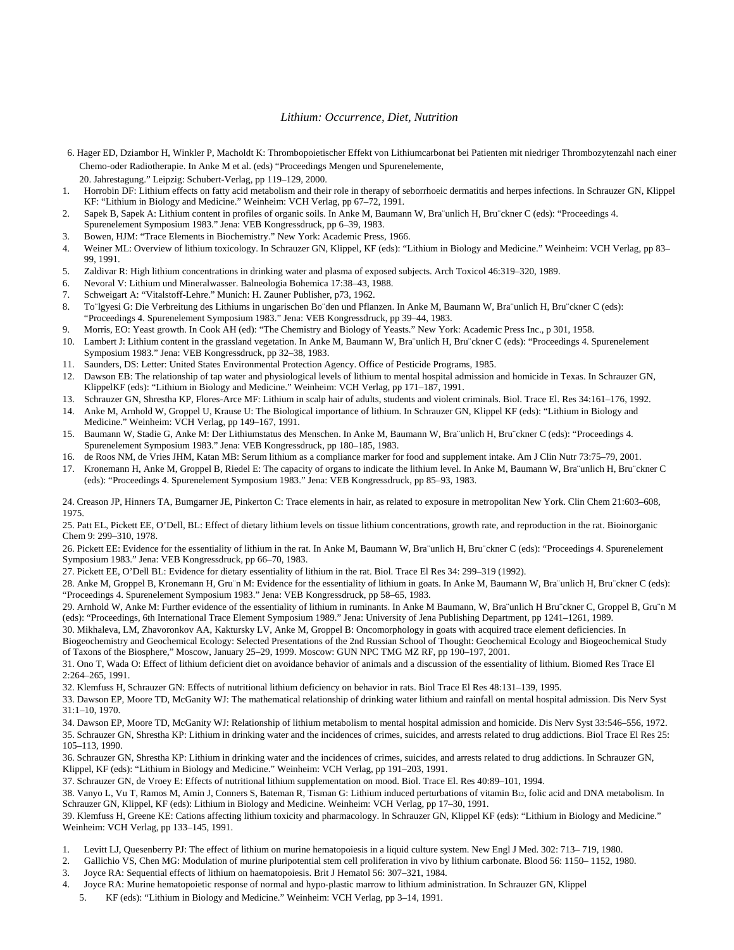#### *Lithium: Occurrence, Diet, Nutrition*

6. Hager ED, Dziambor H, Winkler P, Macholdt K: Thrombopoietischer Effekt von Lithiumcarbonat bei Patienten mit niedriger Thrombozytenzahl nach einer Chemo-oder Radiotherapie. In Anke M et al. (eds) "Proceedings Mengen und Spurenelemente,

20. Jahrestagung." Leipzig: Schubert-Verlag, pp 119–129, 2000.

- 1. Horrobin DF: Lithium effects on fatty acid metabolism and their role in therapy of seborrhoeic dermatitis and herpes infections. In Schrauzer GN, Klippel KF: "Lithium in Biology and Medicine." Weinheim: VCH Verlag, pp 67–72, 1991.
- 2. Sapek B, Sapek A: Lithium content in profiles of organic soils. In Anke M, Baumann W, Bra¨unlich H, Bru¨ckner C (eds): "Proceedings 4. Spurenelement Symposium 1983." Jena: VEB Kongressdruck, pp 6–39, 1983.
- 3. Bowen, HJM: "Trace Elements in Biochemistry." New York: Academic Press, 1966.
- 4. Weiner ML: Overview of lithium toxicology. In Schrauzer GN, Klippel, KF (eds): "Lithium in Biology and Medicine." Weinheim: VCH Verlag, pp 83– 99, 1991.
- 5. Zaldivar R: High lithium concentrations in drinking water and plasma of exposed subjects. Arch Toxicol 46:319–320, 1989.
- 6. Nevoral V: Lithium und Mineralwasser. Balneologia Bohemica 17:38–43, 1988.
- 7. Schweigart A: "Vitalstoff-Lehre." Munich: H. Zauner Publisher, p73, 1962.
- 8. To¨lgyesi G: Die Verbreitung des Lithiums in ungarischen Bo¨den und Pflanzen. In Anke M, Baumann W, Bra¨unlich H, Bru¨ckner C (eds): "Proceedings 4. Spurenelement Symposium 1983." Jena: VEB Kongressdruck, pp 39–44, 1983.
- 9. Morris, EO: Yeast growth. In Cook AH (ed): "The Chemistry and Biology of Yeasts." New York: Academic Press Inc., p 301, 1958.
- 10. Lambert J: Lithium content in the grassland vegetation. In Anke M, Baumann W, Bra¨unlich H, Bru¨ckner C (eds): "Proceedings 4. Spurenelement Symposium 1983." Jena: VEB Kongressdruck, pp 32–38, 1983.
- 11. Saunders, DS: Letter: United States Environmental Protection Agency. Office of Pesticide Programs, 1985.
- 12. Dawson EB: The relationship of tap water and physiological levels of lithium to mental hospital admission and homicide in Texas. In Schrauzer GN, KlippelKF (eds): "Lithium in Biology and Medicine." Weinheim: VCH Verlag, pp 171–187, 1991.
- 13. Schrauzer GN, Shrestha KP, Flores-Arce MF: Lithium in scalp hair of adults, students and violent criminals. Biol. Trace El. Res 34:161–176, 1992.
- 14. Anke M, Arnhold W, Groppel U, Krause U: The Biological importance of lithium. In Schrauzer GN, Klippel KF (eds): "Lithium in Biology and Medicine." Weinheim: VCH Verlag, pp 149–167, 1991.
- 15. Baumann W, Stadie G, Anke M: Der Lithiumstatus des Menschen. In Anke M, Baumann W, Bra¨unlich H, Bru¨ckner C (eds): "Proceedings 4. Spurenelement Symposium 1983." Jena: VEB Kongressdruck, pp 180–185, 1983.
- 16. de Roos NM, de Vries JHM, Katan MB: Serum lithium as a compliance marker for food and supplement intake. Am J Clin Nutr 73:75–79, 2001.
- 17. Kronemann H, Anke M, Groppel B, Riedel E: The capacity of organs to indicate the lithium level. In Anke M, Baumann W, Bra¨unlich H, Bru¨ckner C (eds): "Proceedings 4. Spurenelement Symposium 1983." Jena: VEB Kongressdruck, pp 85–93, 1983.

24. Creason JP, Hinners TA, Bumgarner JE, Pinkerton C: Trace elements in hair, as related to exposure in metropolitan New York. Clin Chem 21:603–608, 1975.

25. Patt EL, Pickett EE, O'Dell, BL: Effect of dietary lithium levels on tissue lithium concentrations, growth rate, and reproduction in the rat. Bioinorganic Chem 9: 299–310, 1978.

26. Pickett EE: Evidence for the essentiality of lithium in the rat. In Anke M, Baumann W, Bra¨unlich H, Bru¨ckner C (eds): "Proceedings 4. Spurenelement Symposium 1983." Jena: VEB Kongressdruck, pp 66–70, 1983.

27. Pickett EE, O'Dell BL: Evidence for dietary essentiality of lithium in the rat. Biol. Trace El Res 34: 299–319 (1992).

28. Anke M, Groppel B, Kronemann H, Gru¨n M: Evidence for the essentiality of lithium in goats. In Anke M, Baumann W, Bra¨unlich H, Bru¨ckner C (eds): "Proceedings 4. Spurenelement Symposium 1983." Jena: VEB Kongressdruck, pp 58–65, 1983.

29. Arnhold W, Anke M: Further evidence of the essentiality of lithium in ruminants. In Anke M Baumann, W, Bra¨unlich H Bru¨ckner C, Groppel B, Gru¨n M (eds): "Proceedings, 6th International Trace Element Symposium 1989." Jena: University of Jena Publishing Department, pp 1241–1261, 1989.

30. Mikhaleva, LM, Zhavoronkov AA, Kaktursky LV, Anke M, Groppel B: Oncomorphology in goats with acquired trace element deficiencies. In Biogeochemistry and Geochemical Ecology: Selected Presentations of the 2nd Russian School of Thought: Geochemical Ecology and Biogeochemical Study of Taxons of the Biosphere," Moscow, January 25–29, 1999. Moscow: GUN NPC TMG MZ RF, pp 190–197, 2001.

31. Ono T, Wada O: Effect of lithium deficient diet on avoidance behavior of animals and a discussion of the essentiality of lithium. Biomed Res Trace El 2:264–265, 1991.

32. Klemfuss H, Schrauzer GN: Effects of nutritional lithium deficiency on behavior in rats. Biol Trace El Res 48:131–139, 1995.

33. Dawson EP, Moore TD, McGanity WJ: The mathematical relationship of drinking water lithium and rainfall on mental hospital admission. Dis Nerv Syst  $31 \cdot 1 - 10$ , 1970.

34. Dawson EP, Moore TD, McGanity WJ: Relationship of lithium metabolism to mental hospital admission and homicide. Dis Nerv Syst 33:546–556, 1972. 35. Schrauzer GN, Shrestha KP: Lithium in drinking water and the incidences of crimes, suicides, and arrests related to drug addictions. Biol Trace El Res 25: 105–113, 1990.

36. Schrauzer GN, Shrestha KP: Lithium in drinking water and the incidences of crimes, suicides, and arrests related to drug addictions. In Schrauzer GN, Klippel, KF (eds): "Lithium in Biology and Medicine." Weinheim: VCH Verlag, pp 191–203, 1991.

37. Schrauzer GN, de Vroey E: Effects of nutritional lithium supplementation on mood. Biol. Trace El. Res 40:89–101, 1994.

38. Vanyo L, Vu T, Ramos M, Amin J, Conners S, Bateman R, Tisman G: Lithium induced perturbations of vitamin B12, folic acid and DNA metabolism. In Schrauzer GN, Klippel, KF (eds): Lithium in Biology and Medicine. Weinheim: VCH Verlag, pp 17–30, 1991.

39. Klemfuss H, Greene KE: Cations affecting lithium toxicity and pharmacology. In Schrauzer GN, Klippel KF (eds): "Lithium in Biology and Medicine." Weinheim: VCH Verlag, pp 133–145, 1991.

- 1. Levitt LJ, Quesenberry PJ: The effect of lithium on murine hematopoiesis in a liquid culture system. New Engl J Med. 302: 713– 719, 1980.
- 2. Gallichio VS, Chen MG: Modulation of murine pluripotential stem cell proliferation in vivo by lithium carbonate. Blood 56: 1150– 1152, 1980.
- 3. Joyce RA: Sequential effects of lithium on haematopoiesis. Brit J Hematol 56: 307–321, 1984.
- 4. Joyce RA: Murine hematopoietic response of normal and hypo-plastic marrow to lithium administration. In Schrauzer GN, Klippel
	- 5. KF (eds): "Lithium in Biology and Medicine." Weinheim: VCH Verlag, pp 3–14, 1991.